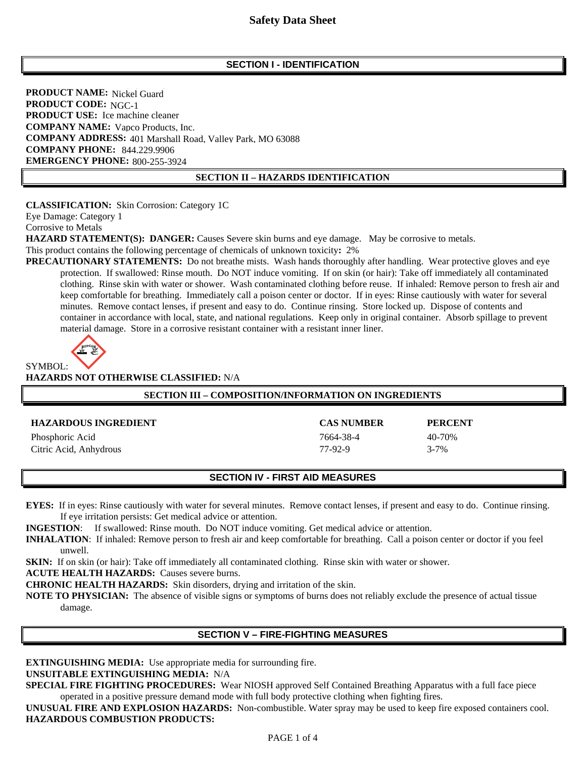### **SECTION I - IDENTIFICATION**

**PRODUCT NAME:** Nickel Guard **PRODUCT CODE:** NGC-1 **PRODUCT USE:** Ice machine cleaner **COMPANY NAME:** Vapco Products, Inc. **COMPANY ADDRESS: 401 Marshall Road, Valley Park, MO 63088 COMPANY PHONE:** 844.229.9906 **EMERGENCY PHONE: 800-255-3924**  800-255-3924

#### **SECTION II – HAZARDS IDENTIFICATION**

**CLASSIFICATION:** Skin Corrosion: Category 1C

Eye Damage: Category 1

Corrosive to Metals

**HAZARD STATEMENT(S): DANGER:** Causes Severe skin burns and eye damage. May be corrosive to metals.

This product contains the following percentage of chemicals of unknown toxicity**:** 2%

**PRECAUTIONARY STATEMENTS:** Do not breathe mists. Wash hands thoroughly after handling. Wear protective gloves and eye protection. If swallowed: Rinse mouth. Do NOT induce vomiting. If on skin (or hair): Take off immediately all contaminated clothing. Rinse skin with water or shower. Wash contaminated clothing before reuse. If inhaled: Remove person to fresh air and keep comfortable for breathing. Immediately call a poison center or doctor. If in eyes: Rinse cautiously with water for several minutes. Remove contact lenses, if present and easy to do. Continue rinsing. Store locked up. Dispose of contents and container in accordance with local, state, and national regulations. Keep only in original container. Absorb spillage to prevent material damage. Store in a corrosive resistant container with a resistant inner liner.



**HAZARDS NOT OTHERWISE CLASSIFIED:** N/A

#### **SECTION III – COMPOSITION/INFORMATION ON INGREDIENTS**

| <b>HAZARDOUS INGREDIENT</b> | <b>CAS NUMBER</b> | <b>PERCENT</b> |
|-----------------------------|-------------------|----------------|
| Phosphoric Acid             | 7664-38-4         | 40-70%         |
| Citric Acid, Anhydrous      | 77-92-9           | $3 - 7\%$      |

### **SECTION IV - FIRST AID MEASURES**

**EYES:** If in eyes: Rinse cautiously with water for several minutes. Remove contact lenses, if present and easy to do. Continue rinsing. If eye irritation persists: Get medical advice or attention.

**INGESTION**: If swallowed: Rinse mouth. Do NOT induce vomiting. Get medical advice or attention.

**INHALATION**:If inhaled: Remove person to fresh air and keep comfortable for breathing. Call a poison center or doctor if you feel unwell.

**SKIN:** If on skin (or hair): Take off immediately all contaminated clothing. Rinse skin with water or shower.

**ACUTE HEALTH HAZARDS:** Causes severe burns.

**CHRONIC HEALTH HAZARDS:** Skin disorders, drying and irritation of the skin.

**NOTE TO PHYSICIAN:** The absence of visible signs or symptoms of burns does not reliably exclude the presence of actual tissue damage.

## **SECTION V – FIRE-FIGHTING MEASURES**

**EXTINGUISHING MEDIA:** Use appropriate media for surrounding fire.

## **UNSUITABLE EXTINGUISHING MEDIA:** N/A

**SPECIAL FIRE FIGHTING PROCEDURES:** Wear NIOSH approved Self Contained Breathing Apparatus with a full face piece operated in a positive pressure demand mode with full body protective clothing when fighting fires.

**UNUSUAL FIRE AND EXPLOSION HAZARDS:** Non-combustible. Water spray may be used to keep fire exposed containers cool. **HAZARDOUS COMBUSTION PRODUCTS:**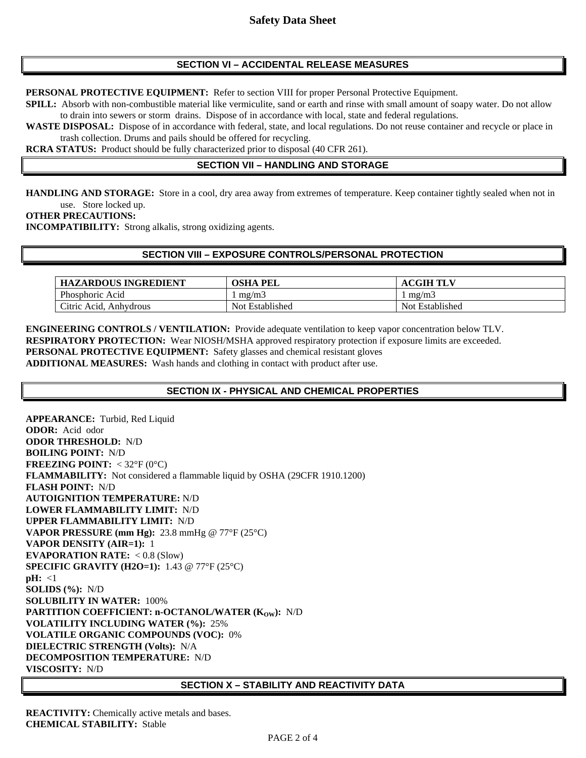# **SECTION VI – ACCIDENTAL RELEASE MEASURES**

**PERSONAL PROTECTIVE EQUIPMENT:** Refer to section VIII for proper Personal Protective Equipment.

**SPILL:** Absorb with non-combustible material like vermiculite, sand or earth and rinse with small amount of soapy water. Do not allow to drain into sewers or storm drains. Dispose of in accordance with local, state and federal regulations.

**WASTE DISPOSAL:** Dispose of in accordance with federal, state, and local regulations. Do not reuse container and recycle or place in trash collection. Drums and pails should be offered for recycling.

**RCRA STATUS:** Product should be fully characterized prior to disposal (40 CFR 261).

## **SECTION VII – HANDLING AND STORAGE**

**HANDLING AND STORAGE:** Store in a cool, dry area away from extremes of temperature. Keep container tightly sealed when not in use. Store locked up.

**OTHER PRECAUTIONS:** 

**INCOMPATIBILITY:** Strong alkalis, strong oxidizing agents.

### **SECTION VIII – EXPOSURE CONTROLS/PERSONAL PROTECTION**

| <b>HAZARDOUS INGREDIENT</b>   | OSHA<br>PEL        | <b>TLV</b><br>CGIH<br>AС |
|-------------------------------|--------------------|--------------------------|
| Phosphoric Acid               | mg/m3              | mg/m3                    |
| Citric.<br>Acid.<br>Anhydrous | Established<br>Not | Not Established          |

**ENGINEERING CONTROLS / VENTILATION:** Provide adequate ventilation to keep vapor concentration below TLV. **RESPIRATORY PROTECTION:** Wear NIOSH/MSHA approved respiratory protection if exposure limits are exceeded. **PERSONAL PROTECTIVE EQUIPMENT:** Safety glasses and chemical resistant gloves **ADDITIONAL MEASURES:** Wash hands and clothing in contact with product after use.

## **SECTION IX - PHYSICAL AND CHEMICAL PROPERTIES**

**APPEARANCE:** Turbid, Red Liquid **ODOR:** Acid odor **ODOR THRESHOLD:** N/D **BOILING POINT:** N/D **FREEZING POINT:** < 32°F (0°C) **FLAMMABILITY:** Not considered a flammable liquid by OSHA (29CFR 1910.1200) **FLASH POINT:** N/D **AUTOIGNITION TEMPERATURE:** N/D **LOWER FLAMMABILITY LIMIT:** N/D **UPPER FLAMMABILITY LIMIT:** N/D **VAPOR PRESSURE (mm Hg):** 23.8 mmHg @ 77°F (25°C) **VAPOR DENSITY (AIR=1):** 1 **EVAPORATION RATE:** < 0.8 (Slow) **SPECIFIC GRAVITY (H2O=1):** 1.43 @ 77°F (25°C) **pH:** <1 **SOLIDS (%):** N/D **SOLUBILITY IN WATER:** 100% **PARTITION COEFFICIENT: n-OCTANOL/WATER (KOW):** N/D **VOLATILITY INCLUDING WATER (%):** 25% **VOLATILE ORGANIC COMPOUNDS (VOC):** 0% **DIELECTRIC STRENGTH (Volts):** N/A **DECOMPOSITION TEMPERATURE:** N/D **VISCOSITY:** N/D

#### **SECTION X – STABILITY AND REACTIVITY DATA**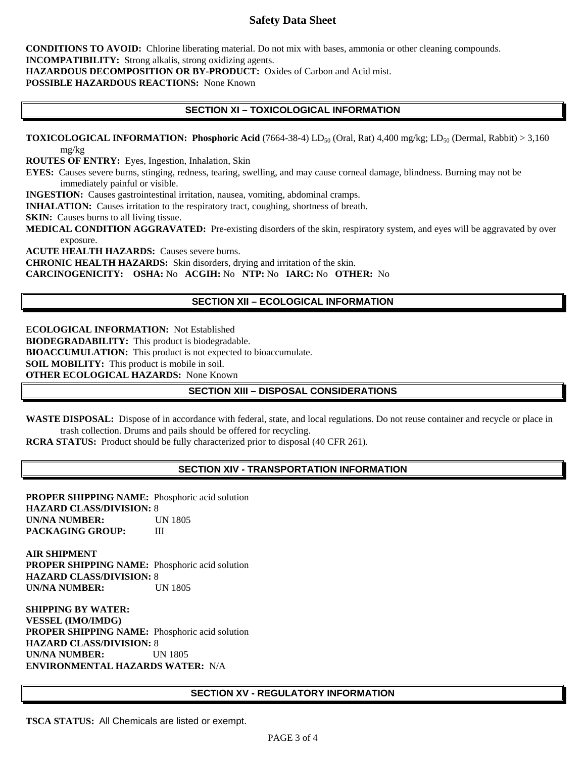# **Safety Data Sheet**

**CONDITIONS TO AVOID:** Chlorine liberating material. Do not mix with bases, ammonia or other cleaning compounds. **INCOMPATIBILITY:** Strong alkalis, strong oxidizing agents.

**HAZARDOUS DECOMPOSITION OR BY-PRODUCT:** Oxides of Carbon and Acid mist.

**POSSIBLE HAZARDOUS REACTIONS:** None Known

### **SECTION XI – TOXICOLOGICAL INFORMATION**

**TOXICOLOGICAL INFORMATION: Phosphoric Acid** (7664-38-4) LD<sub>50</sub> (Oral, Rat) 4,400 mg/kg; LD<sub>50</sub> (Dermal, Rabbit) > 3,160 mg/kg

**ROUTES OF ENTRY:** Eyes, Ingestion, Inhalation, Skin

**EYES:** Causes severe burns, stinging, redness, tearing, swelling, and may cause corneal damage, blindness. Burning may not be immediately painful or visible.

**INGESTION:** Causes gastrointestinal irritation, nausea, vomiting, abdominal cramps.

**INHALATION:** Causes irritation to the respiratory tract, coughing, shortness of breath.

**SKIN:** Causes burns to all living tissue.

**MEDICAL CONDITION AGGRAVATED:** Pre-existing disorders of the skin, respiratory system, and eyes will be aggravated by over exposure.

**ACUTE HEALTH HAZARDS:** Causes severe burns. **CHRONIC HEALTH HAZARDS:** Skin disorders, drying and irritation of the skin. **CARCINOGENICITY: OSHA:** No **ACGIH:** No **NTP:** No **IARC:** No **OTHER:** No

### **SECTION XII – ECOLOGICAL INFORMATION**

**ECOLOGICAL INFORMATION:** Not Established **BIODEGRADABILITY:** This product is biodegradable. **BIOACCUMULATION:** This product is not expected to bioaccumulate. **SOIL MOBILITY:** This product is mobile in soil. **OTHER ECOLOGICAL HAZARDS:** None Known

### **SECTION XIII – DISPOSAL CONSIDERATIONS**

**WASTE DISPOSAL:** Dispose of in accordance with federal, state, and local regulations. Do not reuse container and recycle or place in trash collection. Drums and pails should be offered for recycling.

**RCRA STATUS:** Product should be fully characterized prior to disposal (40 CFR 261).

### **SECTION XIV - TRANSPORTATION INFORMATION**

**PROPER SHIPPING NAME:** Phosphoric acid solution **HAZARD CLASS/DIVISION:** 8 **UN/NA NUMBER:** UN 1805 **PACKAGING GROUP:** III

**AIR SHIPMENT PROPER SHIPPING NAME:** Phosphoric acid solution **HAZARD CLASS/DIVISION:** 8 **UN/NA NUMBER:** UN 1805

**SHIPPING BY WATER: VESSEL (IMO/IMDG) PROPER SHIPPING NAME:** Phosphoric acid solution **HAZARD CLASS/DIVISION:** 8 **UN/NA NUMBER:** UN 1805 **ENVIRONMENTAL HAZARDS WATER:** N/A

#### **SECTION XV - REGULATORY INFORMATION**

**TSCA STATUS:** All Chemicals are listed or exempt.